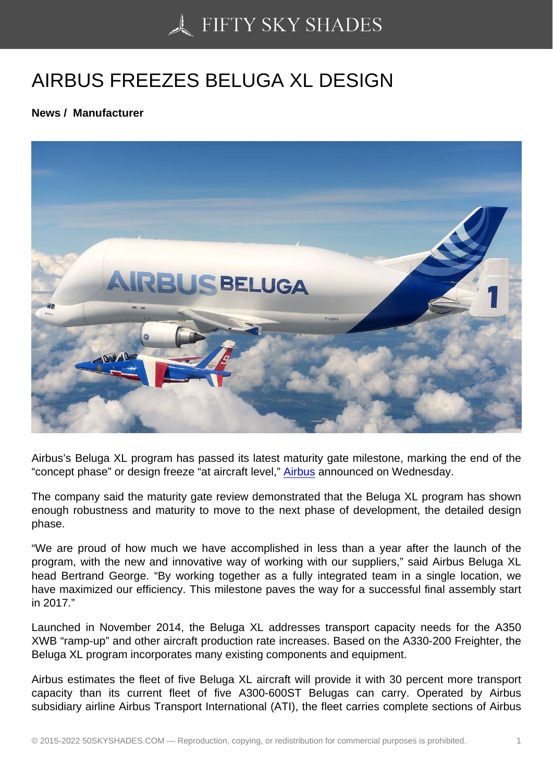## [AIRBUS FREEZES BE](https://50skyshades.com)LUGA XL DESIGN

News / Manufacturer

Airbus's Beluga XL program has passed its latest maturity gate milestone, marking the end of the "concept phase" or design freeze "at aircraft level," Airbus announced on Wednesday.

The company said the maturity gate review demonstrated that the Beluga XL program has shown enough robustness and maturity to move to the [next ph](http://www.aviatime.com/en/commercial-aviation/commercial-aviation-news/manufacturers)ase of development, the detailed design phase.

"We are proud of how much we have accomplished in less than a year after the launch of the program, with the new and innovative way of working with our suppliers," said Airbus Beluga XL head Bertrand George. "By working together as a fully integrated team in a single location, we have maximized our efficiency. This milestone paves the way for a successful final assembly start in 2017."

Launched in November 2014, the Beluga XL addresses transport capacity needs for the A350 XWB "ramp-up" and other aircraft production rate increases. Based on the A330-200 Freighter, the Beluga XL program incorporates many existing components and equipment.

Airbus estimates the fleet of five Beluga XL aircraft will provide it with 30 percent more transport capacity than its current fleet of five A300-600ST Belugas can carry. Operated by Airbus subsidiary airline Airbus Transport International (ATI), the fleet carries complete sections of Airbus